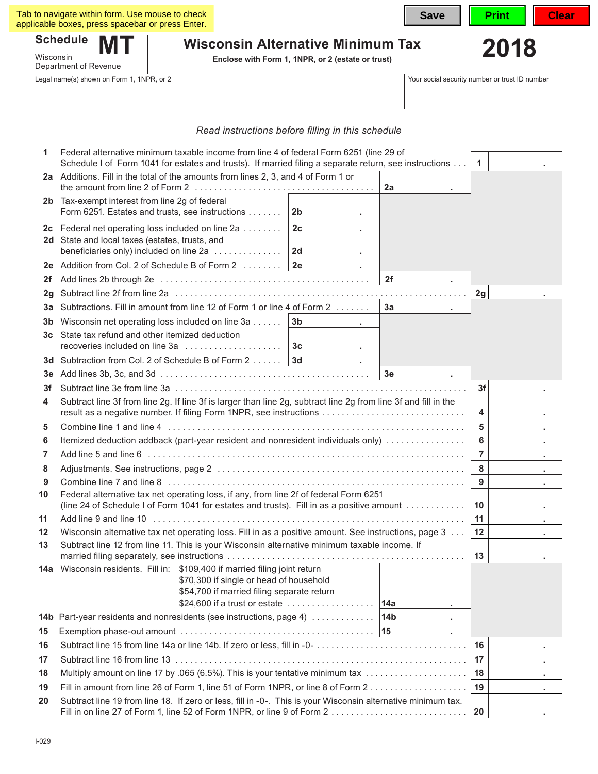| Tab to navigate within form. Use mouse to check<br>applicable boxes, press spacebar or press Enter. | <b>Save</b>                                                                                   | <b>Print</b> | Clear |
|-----------------------------------------------------------------------------------------------------|-----------------------------------------------------------------------------------------------|--------------|-------|
| <b>Schedule</b><br>$\mathbf{M}$<br>Wisconsin<br>Department of Revenue                               | <b>Wisconsin Alternative Minimum Tax</b><br>Enclose with Form 1, 1NPR, or 2 (estate or trust) | 2018         |       |

Legal name(s) shown on Form 1, 1NPR, or 2 Your social security number or trust ID number

| Read instructions before filling in this schedule |  |  |  |  |  |
|---------------------------------------------------|--|--|--|--|--|
|---------------------------------------------------|--|--|--|--|--|

| 1  | Federal alternative minimum taxable income from line 4 of federal Form 6251 (line 29 of<br>Schedule I of Form 1041 for estates and trusts). If married filing a separate return, see instructions                                         |           |                             | $\mathbf{1}$    |            |                |                                             |
|----|-------------------------------------------------------------------------------------------------------------------------------------------------------------------------------------------------------------------------------------------|-----------|-----------------------------|-----------------|------------|----------------|---------------------------------------------|
|    | 2a Additions. Fill in the total of the amounts from lines 2, 3, and 4 of Form 1 or                                                                                                                                                        |           |                             | 2a              |            |                |                                             |
|    | 2b Tax-exempt interest from line 2g of federal<br>Form 6251. Estates and trusts, see instructions                                                                                                                                         | 2b        |                             |                 |            |                |                                             |
|    | 2c Federal net operating loss included on line 2a<br>2d State and local taxes (estates, trusts, and<br>beneficiaries only) included on line 2a                                                                                            | 2c<br> 2d |                             |                 |            |                |                                             |
|    | 2e Addition from Col. 2 of Schedule B of Form $2 \ldots \ldots$   2e                                                                                                                                                                      |           | and the control of the con- |                 |            |                |                                             |
| 2f |                                                                                                                                                                                                                                           |           |                             | 2f              |            |                |                                             |
| 2g |                                                                                                                                                                                                                                           |           |                             |                 |            | 2g             |                                             |
| За | Subtractions. Fill in amount from line 12 of Form 1 or line 4 of Form 2                                                                                                                                                                   |           |                             | 3a              |            |                |                                             |
| 3b | Wisconsin net operating loss included on line 3a                                                                                                                                                                                          | 3b        |                             |                 |            |                |                                             |
|    | 3c State tax refund and other itemized deduction                                                                                                                                                                                          |           |                             |                 |            |                |                                             |
|    | 3d Subtraction from Col. 2 of Schedule B of Form 2  3d                                                                                                                                                                                    |           |                             |                 |            |                |                                             |
| 3е |                                                                                                                                                                                                                                           |           |                             | 3e              |            |                |                                             |
| 3f |                                                                                                                                                                                                                                           |           |                             |                 |            | 3f             |                                             |
| 4  | Subtract line 3f from line 2g. If line 3f is larger than line 2g, subtract line 2g from line 3f and fill in the<br>result as a negative number. If filing Form 1NPR, see instructions                                                     |           |                             |                 |            | 4              |                                             |
| 5  |                                                                                                                                                                                                                                           |           |                             |                 |            | 5              |                                             |
| 6  | Itemized deduction addback (part-year resident and nonresident individuals only)                                                                                                                                                          |           |                             |                 |            | 6              | $\mathbf{r} = \mathbf{r}$ .                 |
| 7  |                                                                                                                                                                                                                                           |           |                             |                 |            | $\overline{7}$ |                                             |
| 8  |                                                                                                                                                                                                                                           |           |                             |                 |            | 8              | $\mathbf{r} = \mathbf{r} \times \mathbf{r}$ |
| 9  |                                                                                                                                                                                                                                           |           |                             |                 |            | $9^{\circ}$    |                                             |
| 10 | Federal alternative tax net operating loss, if any, from line 2f of federal Form 6251<br>(line 24 of Schedule I of Form 1041 for estates and trusts). Fill in as a positive amount                                                        |           |                             |                 |            | 10             |                                             |
| 11 |                                                                                                                                                                                                                                           |           |                             |                 |            | 11             | $\mathbf{r} = \mathbf{r} \times \mathbf{r}$ |
| 12 | Wisconsin alternative tax net operating loss. Fill in as a positive amount. See instructions, page 3                                                                                                                                      |           |                             |                 |            | 12             |                                             |
| 13 | Subtract line 12 from line 11. This is your Wisconsin alternative minimum taxable income. If                                                                                                                                              |           |                             |                 |            | 13             |                                             |
|    | 14a Wisconsin residents. Fill in: \$109,400 if married filing joint return<br>\$70,300 if single or head of household<br>\$54,700 if married filing separate return<br>\$24,600 if a trust or estate $\ldots \ldots \ldots \ldots \ldots$ |           |                             | 14a             |            |                |                                             |
|    | 14b Part-year residents and nonresidents (see instructions, page 4)                                                                                                                                                                       |           |                             | 14 <sub>b</sub> | ×.         |                |                                             |
| 15 |                                                                                                                                                                                                                                           |           |                             | 15              | $\epsilon$ |                |                                             |
| 16 | Subtract line 15 from line 14a or line 14b. If zero or less, fill in -0-                                                                                                                                                                  |           |                             |                 |            | 16             |                                             |
| 17 |                                                                                                                                                                                                                                           |           |                             |                 |            | 17             |                                             |
| 18 | Multiply amount on line 17 by .065 (6.5%). This is your tentative minimum tax                                                                                                                                                             |           |                             |                 |            | 18             |                                             |
| 19 | Fill in amount from line 26 of Form 1, line 51 of Form 1NPR, or line 8 of Form 2                                                                                                                                                          |           |                             |                 |            | 19             |                                             |
| 20 | Subtract line 19 from line 18. If zero or less, fill in -0-. This is your Wisconsin alternative minimum tax.                                                                                                                              |           |                             |                 |            | 20             |                                             |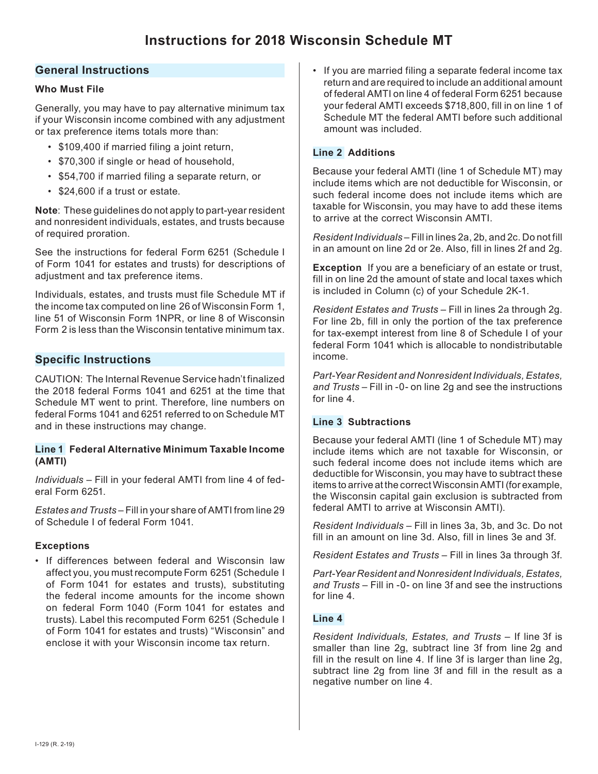# **General Instructions**

### **Who Must File**

Generally, you may have to pay alternative minimum tax if your Wisconsin income combined with any adjustment or tax preference items totals more than:

- \$109,400 if married filing a joint return,
- \$70,300 if single or head of household,
- \$54,700 if married filing a separate return, or
- \$24,600 if a trust or estate.

**Note**: These guidelines do not apply to part-year resident and nonresident individuals, estates, and trusts because of required proration.

See the instructions for federal Form 6251 (Schedule I of Form 1041 for estates and trusts) for descriptions of adiustment and tax preference items.

Individuals, estates, and trusts must file Schedule MT if the income tax computed on line 26 of Wisconsin Form 1, line 51 of Wisconsin Form 1NPR, or line 8 of Wisconsin Form 2 is less than the Wisconsin tentative minimum tax.

# **Specific Instructions**

CAUTION: The Internal Revenue Service hadn't finalized the 2018 federal Forms 1041 and 6251 at the time that Schedule MT went to print. Therefore, line numbers on federal Forms 1041 and 6251 referred to on Schedule MT and in these instructions may change.

#### **Line 1 Federal Alternative Minimum Taxable Income (AMTI)**

*Individuals* – Fill in your federal AMTI from line 4 of federal Form 6251.

*Estates and Trusts* – Fill in your share of AMTI from line 29 of Schedule I of federal Form 1041.

### **Exceptions**

• If differences between federal and Wisconsin law affect you, you must recompute Form 6251 (Schedule I of Form 1041 for estates and trusts), substituting the federal income amounts for the income shown on federal Form 1040 (Form 1041 for estates and trusts). Label this recomputed Form 6251 (Schedule I of Form 1041 for estates and trusts) "Wisconsin" and enclose it with your Wisconsin income tax return.

• If you are married filing a separate federal income tax return and are required to include an additional amount of federal AMTI on line 4 of federal Form 6251 because your federal AMTI exceeds \$718,800, fill in on line 1 of Schedule MT the federal AMTI before such additional amount was included.

## **Line 2 Additions**

Because your federal AMTI (line 1 of Schedule MT) may include items which are not deductible for Wisconsin, or such federal income does not include items which are taxable for Wisconsin, you may have to add these items to arrive at the correct Wisconsin AMTI.

*Resident Individuals* – Fill in lines 2a, 2b, and 2c. Do not fill in an amount on line 2d or 2e. Also, fill in lines 2f and 2g.

**Exception** If you are a beneficiary of an estate or trust, fill in on line 2d the amount of state and local taxes which is included in Column (c) of your Schedule 2K-1.

*Resident Estates and Trusts* – Fill in lines 2a through 2g. For line 2b, fill in only the portion of the tax preference for tax-exempt interest from line 8 of Schedule I of your federal Form 1041 which is allocable to nondistributable income.

*Part-Year Resident and Nonresident Individuals, Estates, and Trusts* – Fill in -0- on line 2g and see the instructions for line 4.

### **Line 3 Subtractions**

Because your federal AMTI (line 1 of Schedule MT) may include items which are not taxable for Wisconsin, or such federal income does not include items which are deductible for Wisconsin, you may have to subtract these items to arrive at the correct Wisconsin AMTI (for example, the Wisconsin capital gain exclusion is subtracted from federal AMTI to arrive at Wisconsin AMTI).

*Resident Individuals* – Fill in lines 3a, 3b, and 3c. Do not fill in an amount on line 3d. Also, fill in lines 3e and 3f.

*Resident Estates and Trusts* – Fill in lines 3a through 3f.

*Part-Year Resident and Nonresident Individuals, Estates, and Trusts* – Fill in -0- on line 3f and see the instructions for line 4.

#### **Line 4**

*Resident Individuals, Estates, and Trusts* – If line 3f is smaller than line 2g, subtract line 3f from line 2g and fill in the result on line 4. If line 3f is larger than line 2g, subtract line 2g from line 3f and fill in the result as a negative number on line 4.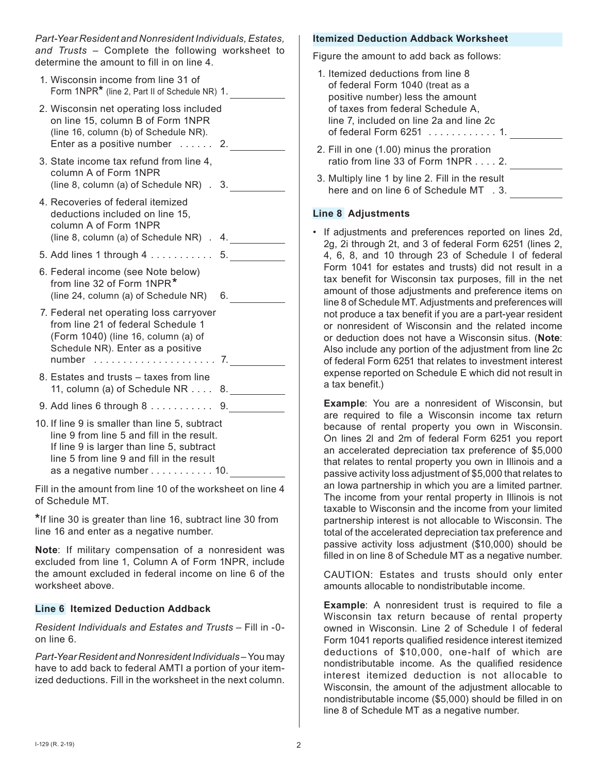*Part-Year Resident and Nonresident Individuals, Estates, and Trusts* – Complete the following worksheet to determine the amount to fill in on line 4.

| 1. Wisconsin income from line 31 of<br>Form 1NPR* (line 2, Part II of Schedule NR) 1.                                                                                                  |  |
|----------------------------------------------------------------------------------------------------------------------------------------------------------------------------------------|--|
| 2. Wisconsin net operating loss included<br>on line 15, column B of Form 1NPR<br>(line 16, column (b) of Schedule NR).<br>Enter as a positive number $\dots$ . 2.                      |  |
| 3. State income tax refund from line 4,<br>column A of Form 1NPR<br>(line 8, column (a) of Schedule NR) . 3.                                                                           |  |
| 4. Recoveries of federal itemized<br>deductions included on line 15,<br>column A of Form 1NPR<br>(line 8, column (a) of Schedule NR) . 4.                                              |  |
| 5. Add lines 1 through 4 5.                                                                                                                                                            |  |
| 6. Federal income (see Note below)<br>from line 32 of Form 1NPR*<br>(line 24, column (a) of Schedule NR) 6.                                                                            |  |
| 7. Federal net operating loss carryover<br>from line 21 of federal Schedule 1<br>(Form 1040) (line 16, column (a) of<br>Schedule NR). Enter as a positive                              |  |
| 8. Estates and trusts - taxes from line<br>11, column (a) of Schedule NR 8.                                                                                                            |  |
| 9. Add lines 6 through 8 9.                                                                                                                                                            |  |
| 10. If line 9 is smaller than line 5, subtract<br>line 9 from line 5 and fill in the result.<br>If line 9 is larger than line 5, subtract<br>line 5 from line 9 and fill in the result |  |

as a negative number  $\dots \dots \dots 10$ .

Fill in the amount from line 10 of the worksheet on line 4 of Schedule MT.

**\***If line 30 is greater than line 16, subtract line 30 from line 16 and enter as a negative number.

**Note**:If military compensation of a nonresident was excluded from line 1, Column A of Form 1NPR, include the amount excluded in federal income on line 6 of the worksheet above.

#### **Line 6 Itemized Deduction Addback**

*Resident Individuals and Estates and Trusts* – Fill in -0 on line 6.

*Part-Year Resident and Nonresident Individuals* – You may have to add back to federal AMTI a portion of your itemized deductions. Fill in the worksheet in the next column.

#### **Itemized Deduction Addback Worksheet**

Figure the amount to add back as follows:

| 1. Itemized deductions from line 8<br>of federal Form 1040 (treat as a<br>positive number) less the amount<br>of taxes from federal Schedule A,<br>line 7, included on line 2a and line 2c |
|--------------------------------------------------------------------------------------------------------------------------------------------------------------------------------------------|
| 2. Fill in one (1.00) minus the proration<br>ratio from line $33$ of Form $1NPR$ 2.                                                                                                        |
| 3. Multiply line 1 by line 2. Fill in the result<br>here and on line 6 of Schedule MT . 3.                                                                                                 |

#### **Line 8 Adjustments**

• If adjustments and preferences reported on lines 2d, 2g, 2i through 2t, and 3 of federal Form 6251 (lines 2, 4, 6, 8, and 10 through 23 of Schedule I of federal Form 1041 for estates and trusts) did not result in a tax benefit for Wisconsin tax purposes, fill in the net amount of those adjustments and preference items on line 8 of Schedule MT. Adjustments and preferences will not produce a tax benefit if you are a part-year resident or nonresident of Wisconsin and the related income or deduction does not have a Wisconsin situs. (**Note**: Also include any portion of the adjustment from line 2c of federal Form 6251 that relates to investment interest expense reported on Schedule E which did not result in a tax benefit.)

**Example**:You are a nonresident of Wisconsin, but are required to file a Wisconsin income tax return because of rental property you own in Wisconsin. On lines 2l and 2m of federal Form 6251 you report an accelerated depreciation tax preference of \$5,000 that relates to rental property you own in Illinois and a passive activity loss adjustment of \$5,000 that relates to an Iowa partnership in which you are a limited partner. The income from your rental property in Illinois is not taxable to Wisconsin and the income from your limited partnership interest is not allocable to Wisconsin. The total of the accelerated depreciation tax preference and passive activity loss adjustment (\$10,000) should be filled in on line 8 of Schedule MT as a negative number.

CAUTION:Estates and trusts should only enter amounts allocable to nondistributable income.

**Example**:A nonresident trust is required to file a Wisconsin tax return because of rental property owned in Wisconsin. Line 2 of Schedule I of federal Form 1041 reports qualified residence interest itemized deductions of \$10,000, one-half of which are nondistributable income. As the qualified residence interest itemized deduction is not allocable to Wisconsin, the amount of the adjustment allocable to nondistributable income (\$5,000) should be filled in on line 8 of Schedule MT as a negative number.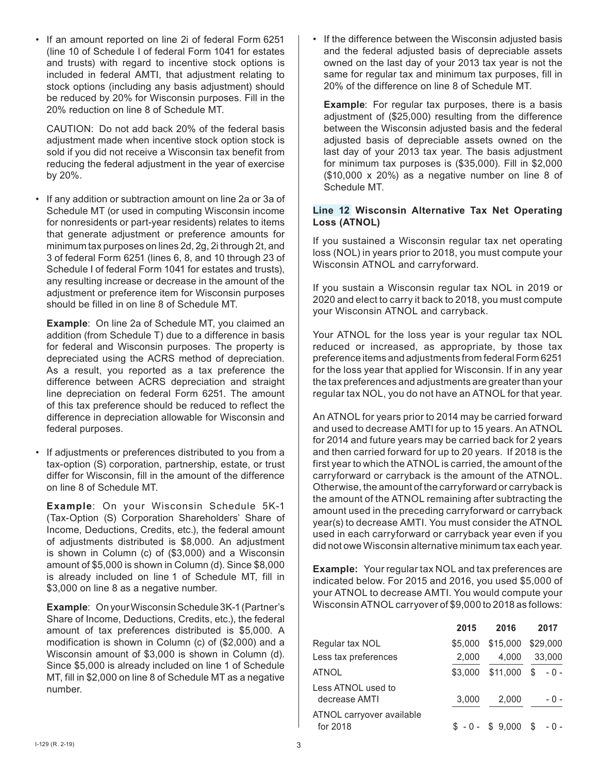• If an amount reported on line 2i of federal Form 6251 (line 10 of Schedule I of federal Form 1041 for estates and trusts) with regard to incentive stock options is included in federal AMTI, that adjustment relating to stock options (including any basis adjustment) should be reduced by 20% for Wisconsin purposes. Fill in the 20% reduction on line 8 of Schedule MT.

CAUTION:Do not add back 20% of the federal basis adjustment made when incentive stock option stock is sold if you did not receive a Wisconsin tax benefit from reducing the federal adjustment in the year of exercise by 20%.

• If any addition or subtraction amount on line 2a or 3a of Schedule MT (or used in computing Wisconsin income for nonresidents or part-year residents) relates to items that generate adjustment or preference amounts for minimum tax purposes on lines 2d, 2g, 2i through 2t, and 3 of federal Form 6251 (lines 6, 8, and 10 through 23 of Schedule I of federal Form 1041 for estates and trusts), any resulting increase or decrease in the amount of the adjustment or preference item for Wisconsin purposes should be filled in on line 8 of Schedule MT.

**Example**:On line 2a of Schedule MT, you claimed an addition (from Schedule T) due to a difference in basis for federal and Wisconsin purposes. The property is depreciated using the ACRS method of depreciation. As a result, you reported as a tax preference the difference between ACRS depreciation and straight line depreciation on federal Form 6251. The amount of this tax preference should be reduced to reflect the difference in depreciation allowable for Wisconsin and federal purposes.

• If adjustments or preferences distributed to you from a tax-option (S) corporation, partnership, estate, or trust differ for Wisconsin, fill in the amount of the difference on line 8 of Schedule MT.

**Example**:On your Wisconsin Schedule 5K-1 (Tax-Option (S) Corporation Shareholders' Share of Income, Deductions, Credits, etc.), the federal amount of adjustments distributed is \$8,000. An adjustment is shown in Column (c) of (\$3,000) and a Wisconsin amount of \$5,000 is shown in Column (d). Since \$8,000 is already included on line 1 of Schedule MT, fill in \$3,000 on line 8 as a negative number.

**Example**:On your Wisconsin Schedule3K-1 (Partner's Share of Income, Deductions, Credits, etc.), the federal amount of tax preferences distributed is \$5,000. A modification is shown in Column (c) of (\$2,000) and a Wisconsin amount of \$3,000 is shown in Column (d). Since \$5,000 is already included on line 1 of Schedule MT, fill in \$2,000 on line 8 of Schedule MT as a negative number.

• If the difference between the Wisconsin adjusted basis and the federal adjusted basis of depreciable assets owned on the last day of your 2013 tax year is not the same for regular tax and minimum tax purposes, fill in 20% of the difference on line 8 of Schedule MT.

**Example:** For regular tax purposes, there is a basis adjustment of (\$25,000) resulting from the difference between the Wisconsin adjusted basis and the federal adjusted basis of depreciable assets owned on the last day of your 2013 tax year. The basis adjustment for minimum tax purposes is (\$35,000). Fill in \$2,000 (\$10,000 x 20%) as a negative number on line 8 of Schedule MT.

#### **Line 12 Wisconsin Alternative Tax Net Operating Loss (ATNOL)**

If you sustained a Wisconsin regular tax net operating loss (NOL) in years prior to 2018, you must compute your Wisconsin ATNOL and carryforward.

If you sustain a Wisconsin regular tax NOL in 2019 or 2020 and elect to carry it back to 2018, you must compute your Wisconsin ATNOL and carryback.

Your ATNOL for the loss year is your regular tax NOL reduced or increased, as appropriate, by those tax preference items and adjustments from federal Form 6251 for the loss year that applied for Wisconsin. If in any year the tax preferences and adjustments are greater than your regular tax NOL, you do not have an ATNOL for that year.

An ATNOL for years prior to 2014 may be carried forward and used to decrease AMTI for up to 15 years. An ATNOL for 2014 and future years may be carried back for 2 years and then carried forward for up to 20 years. If 2018 is the first year to which the ATNOL is carried, the amount of the carryforward or carryback is the amount of the ATNOL. Otherwise, the amount of the carryforward or carryback is the amount of the ATNOL remaining after subtracting the amount used in the preceding carryforward or carryback year(s) to decrease AMTI. You must consider the ATNOL used in each carryforward or carryback year even if you did not owe Wisconsin alternative minimum tax each year.

**Example:** Your regular tax NOL and tax preferences are indicated below. For 2015 and 2016, you used \$5,000 of your ATNOL to decrease AMTI. You would compute your Wisconsin ATNOL carryover of \$9,000 to 2018 as follows:

|                                       | 2015    | 2016              | 2017        |
|---------------------------------------|---------|-------------------|-------------|
| Regular tax NOL                       | \$5,000 | \$15,000 \$29,000 |             |
| Less tax preferences                  | 2,000   | 4,000             | 33,000      |
| <b>ATNOL</b>                          | \$3,000 | \$11,000          | \$<br>$-0-$ |
| Less ATNOL used to<br>decrease AMTI   | 3,000   | 2,000             | - 0 -       |
| ATNOL carryover available<br>for 2018 |         | $$ -0 - $ 9,000$  | \$<br>- 0 - |